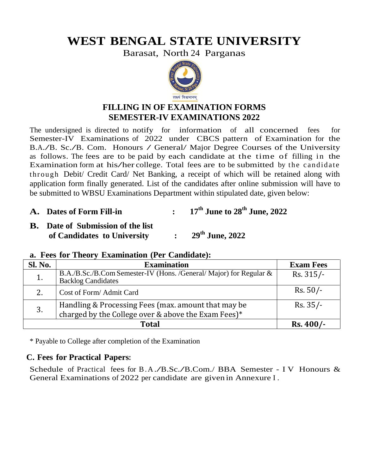# **WEST BENGAL STATE UNIVERSITY**

Barasat, North 24 Parganas



# **FILLING IN OF EXAMINATION FORMS SEMESTER-IV EXAMINATIONS 2022**

The undersigned is directed to notify for information of all concerned fees for Semester-IV Examinations of 2022 under CBCS pattern of Examination for the B.A./B. Sc./B. Com. Honours / General/ Major Degree Courses of the University as follows. The fees are to be paid by each candidate at the time of filling in the Examination form at his/her college. Total fees are to be submitted by the candidate t hr ough Debit/ Credit Card/ Net Banking, a receipt of which will be retained along with application form finally generated. List of the candidates after online submission will have to be submitted to WBSU Examinations Department within stipulated date, given below:

#### **A. Dates of Form Fill-in : 17 th June to 28 th June, 2022**

**B. Date of Submission of the list of Candidates to University : 2008 th June, 2022**

|                | a. Fees for Theory Examination (Per Candidate): |  |
|----------------|-------------------------------------------------|--|
| <b>Sl. No.</b> | <b>Examination</b>                              |  |

| Sl. No.                                                                                                       | <b>Examination</b>                                                                              | <b>Exam Fees</b> |
|---------------------------------------------------------------------------------------------------------------|-------------------------------------------------------------------------------------------------|------------------|
| 1.                                                                                                            | B.A./B.Sc./B.Com Semester-IV (Hons. /General/ Major) for Regular &<br><b>Backlog Candidates</b> | $Rs. 315/-$      |
| 2.                                                                                                            | Cost of Form/Admit Card                                                                         | $Rs. 50/-$       |
| Handling & Processing Fees (max. amount that may be charged by the College over & above the Exam Fees)*<br>3. |                                                                                                 | $Rs. 35/-$       |
|                                                                                                               | $Rs.400/-$                                                                                      |                  |

\* Payable to College after completion of the Examination

## **C. Fees for Practical Papers:**

Schedule of Practical fees for B.A./B.Sc./B.Com./ BBA Semester - I V Honours & General Examinations of 2022 per candidate are given in Annexure I .